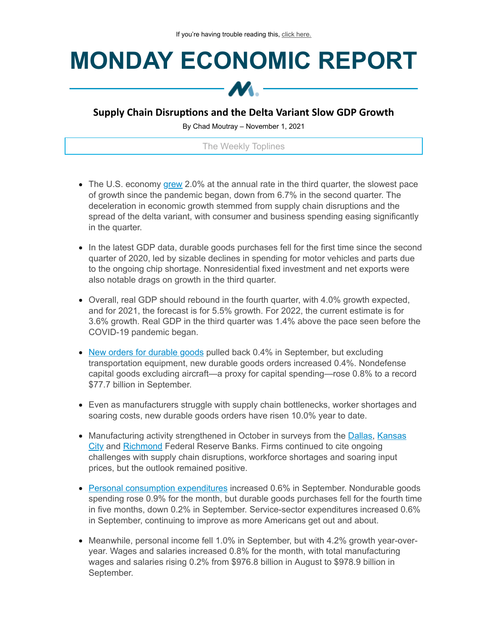## **MONDAY ECONOMIC REPORT**



## **Supply Chain Disruptions and the Delta Variant Slow GDP Growth**

By Chad Moutray – November 1, 2021

The Weekly Toplines

- The U.S. economy [grew](https://click.email.nam.org/?qs=653d2d4edf38363287a433474899073ce02a24d4d7f41d2a80e8694970c244a85be4e9f14f505618dbcb113f3efe395846a6d5070a1b26cb) 2.0% at the annual rate in the third quarter, the slowest pace of growth since the pandemic began, down from 6.7% in the second quarter. The deceleration in economic growth stemmed from supply chain disruptions and the spread of the delta variant, with consumer and business spending easing significantly in the quarter.
- In the latest GDP data, durable goods purchases fell for the first time since the second quarter of 2020, led by sizable declines in spending for motor vehicles and parts due to the ongoing chip shortage. Nonresidential fixed investment and net exports were also notable drags on growth in the third quarter.
- Overall, real GDP should rebound in the fourth quarter, with 4.0% growth expected, and for 2021, the forecast is for 5.5% growth. For 2022, the current estimate is for 3.6% growth. Real GDP in the third quarter was 1.4% above the pace seen before the COVID-19 pandemic began.
- New orders for [durable](https://click.email.nam.org/?qs=653d2d4edf383632f64b449ca7eb5ca824d580a39cc89504cbc443a1856267555a001f8ec7e30209b635fdfc7b47059981dff1cd79730569) goods pulled back 0.4% in September, but excluding transportation equipment, new durable goods orders increased 0.4%. Nondefense capital goods excluding aircraft—a proxy for capital spending—rose 0.8% to a record \$77.7 billion in September.
- Even as manufacturers struggle with supply chain bottlenecks, worker shortages and soaring costs, new durable goods orders have risen 10.0% year to date.
- [Manufacturing](https://click.email.nam.org/?qs=653d2d4edf383632080c7f6867f942611da1774721119dc15c79a07c3378b769afedc6bc01e506682720179e57126e5495c294eeb545f5f4) activity strengthened in October in surveys from the [Dallas,](https://click.email.nam.org/?qs=653d2d4edf383632d9e6e154b3819ff9466a0bf5bf2e931d66e730354e314b2cf9791027dd1ce79b2cc9dd54e81e8f71517e0c5998b46eba) Kansas City and [Richmond](https://click.email.nam.org/?qs=653d2d4edf3836329cbe4509188421d2a1ca9a9bfe0525524264cd4024fcd9bbbc81d2cee68c0d633b89236f6d7d1752c8b991db26193d7f) Federal Reserve Banks. Firms continued to cite ongoing challenges with supply chain disruptions, workforce shortages and soaring input prices, but the outlook remained positive.
- **Personal consumption [expenditures](https://click.email.nam.org/?qs=653d2d4edf38363216a3ecf73eb52abb1718c70fa62b0f6f8f16a0f53006c15cc7c65f304416342e95def81c7dc1419f8f3d6e2e5b5ca635) increased 0.6% in September. Nondurable goods** spending rose 0.9% for the month, but durable goods purchases fell for the fourth time in five months, down 0.2% in September. Service-sector expenditures increased 0.6% in September, continuing to improve as more Americans get out and about.
- Meanwhile, personal income fell 1.0% in September, but with 4.2% growth year-overyear. Wages and salaries increased 0.8% for the month, with total manufacturing wages and salaries rising 0.2% from \$976.8 billion in August to \$978.9 billion in September.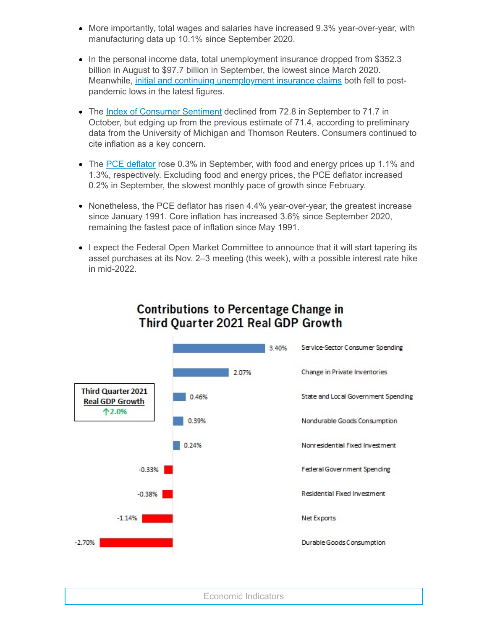- More importantly, total wages and salaries have increased 9.3% year-over-year, with manufacturing data up 10.1% since September 2020.
- In the personal income data, total unemployment insurance dropped from \$352.3 billion in August to \$97.7 billion in September, the lowest since March 2020. Meanwhile, initial and continuing [unemployment](https://click.email.nam.org/?qs=653d2d4edf3836327fa56ddb7d00c20a5e429c0472e0b50c17c8667029862df7ad5a66bb6a256e51ab0f978236cebf3415f8f93ea6a9e9f9) insurance claims both fell to postpandemic lows in the latest figures.
- The Index of [Consumer](https://click.email.nam.org/?qs=653d2d4edf38363289823fe3686acabd61ecb20abfaa0a96515b099a12f396974eabd31f79df5b0c0f11ca3742f9949f0c9e2ea13afddaa1) Sentiment declined from 72.8 in September to 71.7 in October, but edging up from the previous estimate of 71.4, according to preliminary data from the University of Michigan and Thomson Reuters. Consumers continued to cite inflation as a key concern.
- The PCE [deflator](https://click.email.nam.org/?qs=653d2d4edf38363216a3ecf73eb52abb1718c70fa62b0f6f8f16a0f53006c15cc7c65f304416342e95def81c7dc1419f8f3d6e2e5b5ca635) rose 0.3% in September, with food and energy prices up 1.1% and 1.3%, respectively. Excluding food and energy prices, the PCE deflator increased 0.2% in September, the slowest monthly pace of growth since February.
- Nonetheless, the PCE deflator has risen 4.4% year-over-year, the greatest increase since January 1991. Core inflation has increased 3.6% since September 2020, remaining the fastest pace of inflation since May 1991.
- I expect the Federal Open Market Committee to announce that it will start tapering its asset purchases at its Nov. 2–3 meeting (this week), with a possible interest rate hike in mid-2022.



## **Contributions to Percentage Change in** Third Ouarter 2021 Real GDP Growth

Economic Indicators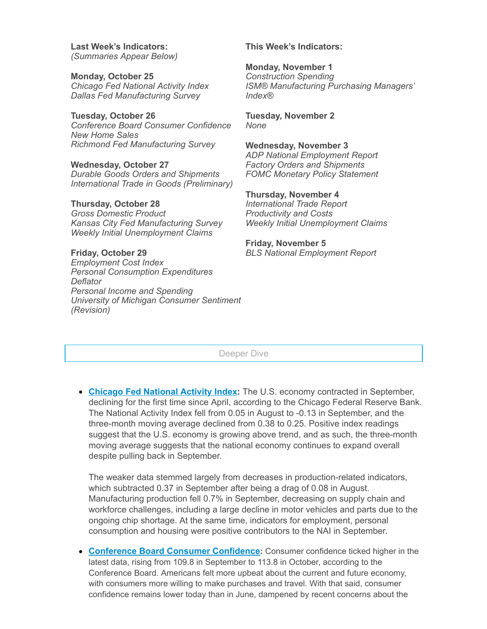**Last Week's Indicators:** *(Summaries Appear Below)*

**Monday, October 25** *Chicago Fed National Activity Index Dallas Fed Manufacturing Survey*

**Tuesday, October 26** *Conference Board Consumer Confidence New Home Sales Richmond Fed Manufacturing Survey*

**Wednesday, October 27** *Durable Goods Orders and Shipments International Trade in Goods (Preliminary)*

**Thursday, October 28** *Gross Domestic Product Kansas City Fed Manufacturing Survey Weekly Initial Unemployment Claims*

## **Friday, October 29** *Employment Cost Index Personal Consumption Expenditures Deflator Personal Income and Spending University of Michigan Consumer Sentiment (Revision)*

**This Week's Indicators:**

**Monday, November 1** *Construction Spending ISM® Manufacturing Purchasing Managers' Index®*

**Tuesday, November 2** *None*

**Wednesday, November 3** *ADP National Employment Report Factory Orders and Shipments FOMC Monetary Policy Statement*

**Thursday, November 4** *International Trade Report Productivity and Costs Weekly Initial Unemployment Claims*

**Friday, November 5** *BLS National Employment Report*

Deeper Dive

**Chicago Fed [National](https://click.email.nam.org/?qs=653d2d4edf3836326e048b9596ffca9de7b5cb45e99c6e71d919f2a29636753a287dd56e80a65792bc8d2fcec8839a1bfcb8dc21f9776bed) Activity Index:** The U.S. economy contracted in September, declining for the first time since April, according to the Chicago Federal Reserve Bank. The National Activity Index fell from 0.05 in August to -0.13 in September, and the three-month moving average declined from 0.38 to 0.25. Positive index readings suggest that the U.S. economy is growing above trend, and as such, the three-month moving average suggests that the national economy continues to expand overall despite pulling back in September.

The weaker data stemmed largely from decreases in production-related indicators, which subtracted 0.37 in September after being a drag of 0.08 in August. Manufacturing production fell 0.7% in September, decreasing on supply chain and workforce challenges, including a large decline in motor vehicles and parts due to the ongoing chip shortage. At the same time, indicators for employment, personal consumption and housing were positive contributors to the NAI in September.

**[Conference](https://click.email.nam.org/?qs=653d2d4edf383632a777bc66d3c2fdaa9a6262d74650042b7bf54e56845d5fe83630e2f264df3ec821f25cb0e2e0f9a16206f05be0a1c83b) Board Consumer Confidence:** Consumer confidence ticked higher in the latest data, rising from 109.8 in September to 113.8 in October, according to the Conference Board. Americans felt more upbeat about the current and future economy, with consumers more willing to make purchases and travel. With that said, consumer confidence remains lower today than in June, dampened by recent concerns about the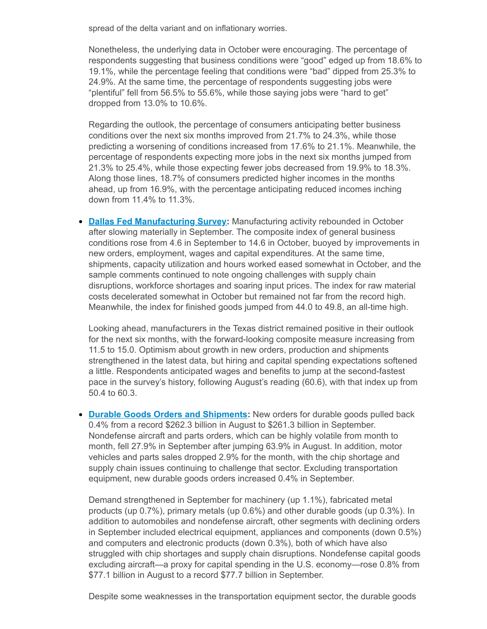spread of the delta variant and on inflationary worries.

Nonetheless, the underlying data in October were encouraging. The percentage of respondents suggesting that business conditions were "good" edged up from 18.6% to 19.1%, while the percentage feeling that conditions were "bad" dipped from 25.3% to 24.9%. At the same time, the percentage of respondents suggesting jobs were "plentiful" fell from 56.5% to 55.6%, while those saying jobs were "hard to get" dropped from 13.0% to 10.6%.

Regarding the outlook, the percentage of consumers anticipating better business conditions over the next six months improved from 21.7% to 24.3%, while those predicting a worsening of conditions increased from 17.6% to 21.1%. Meanwhile, the percentage of respondents expecting more jobs in the next six months jumped from 21.3% to 25.4%, while those expecting fewer jobs decreased from 19.9% to 18.3%. Along those lines, 18.7% of consumers predicted higher incomes in the months ahead, up from 16.9%, with the percentage anticipating reduced incomes inching down from 11.4% to 11.3%.

**Dallas Fed [Manufacturing](https://click.email.nam.org/?qs=653d2d4edf383632d9e6e154b3819ff9466a0bf5bf2e931d66e730354e314b2cf9791027dd1ce79b2cc9dd54e81e8f71517e0c5998b46eba) Survey:** Manufacturing activity rebounded in October after slowing materially in September. The composite index of general business conditions rose from 4.6 in September to 14.6 in October, buoyed by improvements in new orders, employment, wages and capital expenditures. At the same time, shipments, capacity utilization and hours worked eased somewhat in October, and the sample comments continued to note ongoing challenges with supply chain disruptions, workforce shortages and soaring input prices. The index for raw material costs decelerated somewhat in October but remained not far from the record high. Meanwhile, the index for finished goods jumped from 44.0 to 49.8, an all-time high.

Looking ahead, manufacturers in the Texas district remained positive in their outlook for the next six months, with the forward-looking composite measure increasing from 11.5 to 15.0. Optimism about growth in new orders, production and shipments strengthened in the latest data, but hiring and capital spending expectations softened a little. Respondents anticipated wages and benefits to jump at the second-fastest pace in the survey's history, following August's reading (60.6), with that index up from 50.4 to 60.3.

**Durable Goods Orders and [Shipments](https://click.email.nam.org/?qs=653d2d4edf383632f64b449ca7eb5ca824d580a39cc89504cbc443a1856267555a001f8ec7e30209b635fdfc7b47059981dff1cd79730569):** New orders for durable goods pulled back 0.4% from a record \$262.3 billion in August to \$261.3 billion in September. Nondefense aircraft and parts orders, which can be highly volatile from month to month, fell 27.9% in September after jumping 63.9% in August. In addition, motor vehicles and parts sales dropped 2.9% for the month, with the chip shortage and supply chain issues continuing to challenge that sector. Excluding transportation equipment, new durable goods orders increased 0.4% in September.

Demand strengthened in September for machinery (up 1.1%), fabricated metal products (up 0.7%), primary metals (up 0.6%) and other durable goods (up 0.3%). In addition to automobiles and nondefense aircraft, other segments with declining orders in September included electrical equipment, appliances and components (down 0.5%) and computers and electronic products (down 0.3%), both of which have also struggled with chip shortages and supply chain disruptions. Nondefense capital goods excluding aircraft—a proxy for capital spending in the U.S. economy—rose 0.8% from \$77.1 billion in August to a record \$77.7 billion in September.

Despite some weaknesses in the transportation equipment sector, the durable goods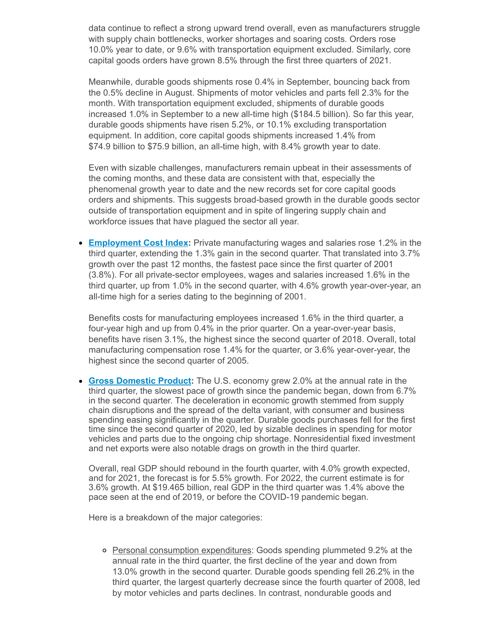data continue to reflect a strong upward trend overall, even as manufacturers struggle with supply chain bottlenecks, worker shortages and soaring costs. Orders rose 10.0% year to date, or 9.6% with transportation equipment excluded. Similarly, core capital goods orders have grown 8.5% through the first three quarters of 2021.

Meanwhile, durable goods shipments rose 0.4% in September, bouncing back from the 0.5% decline in August. Shipments of motor vehicles and parts fell 2.3% for the month. With transportation equipment excluded, shipments of durable goods increased 1.0% in September to a new all-time high (\$184.5 billion). So far this year, durable goods shipments have risen 5.2%, or 10.1% excluding transportation equipment. In addition, core capital goods shipments increased 1.4% from \$74.9 billion to \$75.9 billion, an all-time high, with 8.4% growth year to date.

Even with sizable challenges, manufacturers remain upbeat in their assessments of the coming months, and these data are consistent with that, especially the phenomenal growth year to date and the new records set for core capital goods orders and shipments. This suggests broad-based growth in the durable goods sector outside of transportation equipment and in spite of lingering supply chain and workforce issues that have plagued the sector all year.

**[Employment](https://click.email.nam.org/?qs=653d2d4edf383632c7ced66e010084ebfec86df5f96bb2db07a1338c03ecc7fb6c13752508b118a10e7232361a4b0dbdf83092668a2a2b28) Cost Index:** Private manufacturing wages and salaries rose 1.2% in the third quarter, extending the 1.3% gain in the second quarter. That translated into 3.7% growth over the past 12 months, the fastest pace since the first quarter of 2001 (3.8%). For all private-sector employees, wages and salaries increased 1.6% in the third quarter, up from 1.0% in the second quarter, with 4.6% growth year-over-year, an all-time high for a series dating to the beginning of 2001.

Benefits costs for manufacturing employees increased 1.6% in the third quarter, a four-year high and up from 0.4% in the prior quarter. On a year-over-year basis, benefits have risen 3.1%, the highest since the second quarter of 2018. Overall, total manufacturing compensation rose 1.4% for the quarter, or 3.6% year-over-year, the highest since the second quarter of 2005.

**Gross [Domestic](https://click.email.nam.org/?qs=653d2d4edf38363287a433474899073ce02a24d4d7f41d2a80e8694970c244a85be4e9f14f505618dbcb113f3efe395846a6d5070a1b26cb) Product:** The U.S. economy grew 2.0% at the annual rate in the third quarter, the slowest pace of growth since the pandemic began, down from 6.7% in the second quarter. The deceleration in economic growth stemmed from supply chain disruptions and the spread of the delta variant, with consumer and business spending easing significantly in the quarter. Durable goods purchases fell for the first time since the second quarter of 2020, led by sizable declines in spending for motor vehicles and parts due to the ongoing chip shortage. Nonresidential fixed investment and net exports were also notable drags on growth in the third quarter.

Overall, real GDP should rebound in the fourth quarter, with 4.0% growth expected, and for 2021, the forecast is for 5.5% growth. For 2022, the current estimate is for 3.6% growth. At \$19.465 billion, real GDP in the third quarter was 1.4% above the pace seen at the end of 2019, or before the COVID-19 pandemic began.

Here is a breakdown of the major categories:

o Personal consumption expenditures: Goods spending plummeted 9.2% at the annual rate in the third quarter, the first decline of the year and down from 13.0% growth in the second quarter. Durable goods spending fell 26.2% in the third quarter, the largest quarterly decrease since the fourth quarter of 2008, led by motor vehicles and parts declines. In contrast, nondurable goods and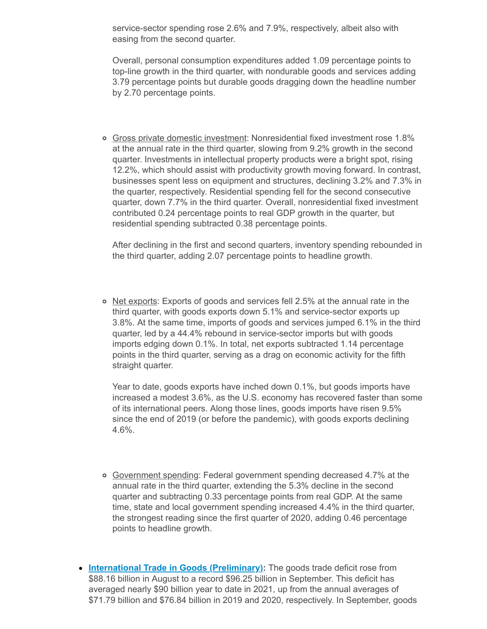service-sector spending rose 2.6% and 7.9%, respectively, albeit also with easing from the second quarter.

Overall, personal consumption expenditures added 1.09 percentage points to top-line growth in the third quarter, with nondurable goods and services adding 3.79 percentage points but durable goods dragging down the headline number by 2.70 percentage points.

Gross private domestic investment: Nonresidential fixed investment rose 1.8% at the annual rate in the third quarter, slowing from 9.2% growth in the second quarter. Investments in intellectual property products were a bright spot, rising 12.2%, which should assist with productivity growth moving forward. In contrast, businesses spent less on equipment and structures, declining 3.2% and 7.3% in the quarter, respectively. Residential spending fell for the second consecutive quarter, down 7.7% in the third quarter. Overall, nonresidential fixed investment contributed 0.24 percentage points to real GDP growth in the quarter, but residential spending subtracted 0.38 percentage points.

After declining in the first and second quarters, inventory spending rebounded in the third quarter, adding 2.07 percentage points to headline growth.

o Net exports: Exports of goods and services fell 2.5% at the annual rate in the third quarter, with goods exports down 5.1% and service-sector exports up 3.8%. At the same time, imports of goods and services jumped 6.1% in the third quarter, led by a 44.4% rebound in service-sector imports but with goods imports edging down 0.1%. In total, net exports subtracted 1.14 percentage points in the third quarter, serving as a drag on economic activity for the fifth straight quarter.

Year to date, goods exports have inched down 0.1%, but goods imports have increased a modest 3.6%, as the U.S. economy has recovered faster than some of its international peers. Along those lines, goods imports have risen 9.5% since the end of 2019 (or before the pandemic), with goods exports declining 4.6%.

- Government spending: Federal government spending decreased 4.7% at the annual rate in the third quarter, extending the 5.3% decline in the second quarter and subtracting 0.33 percentage points from real GDP. At the same time, state and local government spending increased 4.4% in the third quarter, the strongest reading since the first quarter of 2020, adding 0.46 percentage points to headline growth.
- **International Trade in Goods [\(Preliminary\):](https://click.email.nam.org/?qs=653d2d4edf383632f8955dda325ad199c8d53a39d325dd72bb53d70928af8d6b52a08d9bbcf8d7313d438bfbae81f1fed1a4c7c4f21607b9)** The goods trade deficit rose from \$88.16 billion in August to a record \$96.25 billion in September. This deficit has averaged nearly \$90 billion year to date in 2021, up from the annual averages of \$71.79 billion and \$76.84 billion in 2019 and 2020, respectively. In September, goods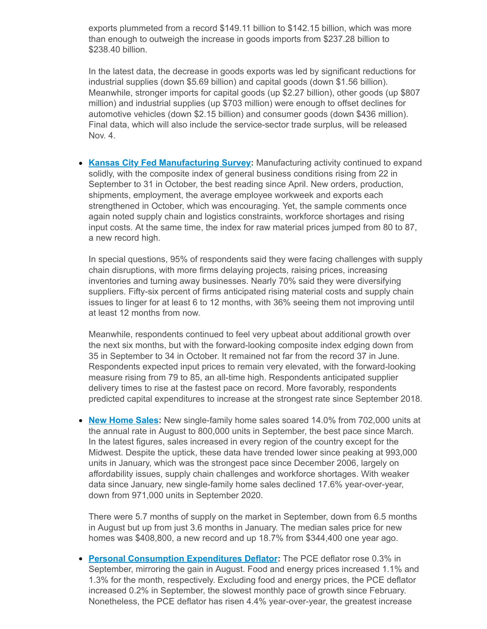exports plummeted from a record \$149.11 billion to \$142.15 billion, which was more than enough to outweigh the increase in goods imports from \$237.28 billion to \$238.40 billion.

In the latest data, the decrease in goods exports was led by significant reductions for industrial supplies (down \$5.69 billion) and capital goods (down \$1.56 billion). Meanwhile, stronger imports for capital goods (up \$2.27 billion), other goods (up \$807 million) and industrial supplies (up \$703 million) were enough to offset declines for automotive vehicles (down \$2.15 billion) and consumer goods (down \$436 million). Final data, which will also include the service-sector trade surplus, will be released Nov. 4.

**Kansas City Fed [Manufacturing](https://click.email.nam.org/?qs=653d2d4edf383632080c7f6867f942611da1774721119dc15c79a07c3378b769afedc6bc01e506682720179e57126e5495c294eeb545f5f4) Survey:** Manufacturing activity continued to expand solidly, with the composite index of general business conditions rising from 22 in September to 31 in October, the best reading since April. New orders, production, shipments, employment, the average employee workweek and exports each strengthened in October, which was encouraging. Yet, the sample comments once again noted supply chain and logistics constraints, workforce shortages and rising input costs. At the same time, the index for raw material prices jumped from 80 to 87, a new record high.

In special questions, 95% of respondents said they were facing challenges with supply chain disruptions, with more firms delaying projects, raising prices, increasing inventories and turning away businesses. Nearly 70% said they were diversifying suppliers. Fifty-six percent of firms anticipated rising material costs and supply chain issues to linger for at least 6 to 12 months, with 36% seeing them not improving until at least 12 months from now.

Meanwhile, respondents continued to feel very upbeat about additional growth over the next six months, but with the forward-looking composite index edging down from 35 in September to 34 in October. It remained not far from the record 37 in June. Respondents expected input prices to remain very elevated, with the forward-looking measure rising from 79 to 85, an all-time high. Respondents anticipated supplier delivery times to rise at the fastest pace on record. More favorably, respondents predicted capital expenditures to increase at the strongest rate since September 2018.

**New [Home](https://click.email.nam.org/?qs=653d2d4edf383632ccb35ab970a2fcad41a07743c41d4c447530b0177b21fe5cf917621bed78afbddd0a3f16aefcd8c418613bf37d5ba9fc) Sales:** New single-family home sales soared 14.0% from 702,000 units at the annual rate in August to 800,000 units in September, the best pace since March. In the latest figures, sales increased in every region of the country except for the Midwest. Despite the uptick, these data have trended lower since peaking at 993,000 units in January, which was the strongest pace since December 2006, largely on affordability issues, supply chain challenges and workforce shortages. With weaker data since January, new single-family home sales declined 17.6% year-over-year, down from 971,000 units in September 2020.

There were 5.7 months of supply on the market in September, down from 6.5 months in August but up from just 3.6 months in January. The median sales price for new homes was \$408,800, a new record and up 18.7% from \$344,400 one year ago.

**Personal [Consumption](https://click.email.nam.org/?qs=653d2d4edf38363216a3ecf73eb52abb1718c70fa62b0f6f8f16a0f53006c15cc7c65f304416342e95def81c7dc1419f8f3d6e2e5b5ca635) Expenditures Deflator:** The PCE deflator rose 0.3% in September, mirroring the gain in August. Food and energy prices increased 1.1% and 1.3% for the month, respectively. Excluding food and energy prices, the PCE deflator increased 0.2% in September, the slowest monthly pace of growth since February. Nonetheless, the PCE deflator has risen 4.4% year-over-year, the greatest increase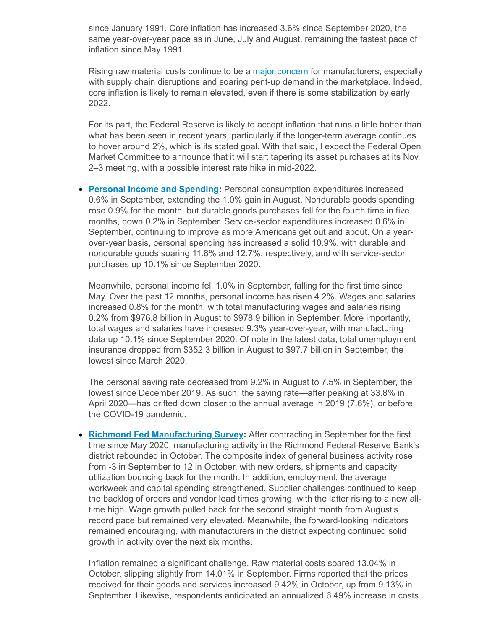since January 1991. Core inflation has increased 3.6% since September 2020, the same year-over-year pace as in June, July and August, remaining the fastest pace of inflation since May 1991.

Rising raw material costs continue to be a major [concern](https://click.email.nam.org/?qs=d7cac426451ceb6523f688f827e2efe8964141f23a09099c4211a95254dee40d36a5657dfa769609ee1949d1b945c0332c071938858c4eac) for manufacturers, especially with supply chain disruptions and soaring pent-up demand in the marketplace. Indeed, core inflation is likely to remain elevated, even if there is some stabilization by early 2022.

For its part, the Federal Reserve is likely to accept inflation that runs a little hotter than what has been seen in recent years, particularly if the longer-term average continues to hover around 2%, which is its stated goal. With that said, I expect the Federal Open Market Committee to announce that it will start tapering its asset purchases at its Nov. 2–3 meeting, with a possible interest rate hike in mid-2022.

**Personal Income and [Spending](https://click.email.nam.org/?qs=653d2d4edf38363216a3ecf73eb52abb1718c70fa62b0f6f8f16a0f53006c15cc7c65f304416342e95def81c7dc1419f8f3d6e2e5b5ca635):** Personal consumption expenditures increased 0.6% in September, extending the 1.0% gain in August. Nondurable goods spending rose 0.9% for the month, but durable goods purchases fell for the fourth time in five months, down 0.2% in September. Service-sector expenditures increased 0.6% in September, continuing to improve as more Americans get out and about. On a yearover-year basis, personal spending has increased a solid 10.9%, with durable and nondurable goods soaring 11.8% and 12.7%, respectively, and with service-sector purchases up 10.1% since September 2020.

Meanwhile, personal income fell 1.0% in September, falling for the first time since May. Over the past 12 months, personal income has risen 4.2%. Wages and salaries increased 0.8% for the month, with total manufacturing wages and salaries rising 0.2% from \$976.8 billion in August to \$978.9 billion in September. More importantly, total wages and salaries have increased 9.3% year-over-year, with manufacturing data up 10.1% since September 2020. Of note in the latest data, total unemployment insurance dropped from \$352.3 billion in August to \$97.7 billion in September, the lowest since March 2020.

The personal saving rate decreased from 9.2% in August to 7.5% in September, the lowest since December 2019. As such, the saving rate—after peaking at 33.8% in April 2020—has drifted down closer to the annual average in 2019 (7.6%), or before the COVID-19 pandemic.

**Richmond Fed [Manufacturing](https://click.email.nam.org/?qs=653d2d4edf3836329cbe4509188421d2a1ca9a9bfe0525524264cd4024fcd9bbbc81d2cee68c0d633b89236f6d7d1752c8b991db26193d7f) Survey:** After contracting in September for the first time since May 2020, manufacturing activity in the Richmond Federal Reserve Bank's district rebounded in October. The composite index of general business activity rose from -3 in September to 12 in October, with new orders, shipments and capacity utilization bouncing back for the month. In addition, employment, the average workweek and capital spending strengthened. Supplier challenges continued to keep the backlog of orders and vendor lead times growing, with the latter rising to a new alltime high. Wage growth pulled back for the second straight month from August's record pace but remained very elevated. Meanwhile, the forward-looking indicators remained encouraging, with manufacturers in the district expecting continued solid growth in activity over the next six months.

Inflation remained a significant challenge. Raw material costs soared 13.04% in October, slipping slightly from 14.01% in September. Firms reported that the prices received for their goods and services increased 9.42% in October, up from 9.13% in September. Likewise, respondents anticipated an annualized 6.49% increase in costs